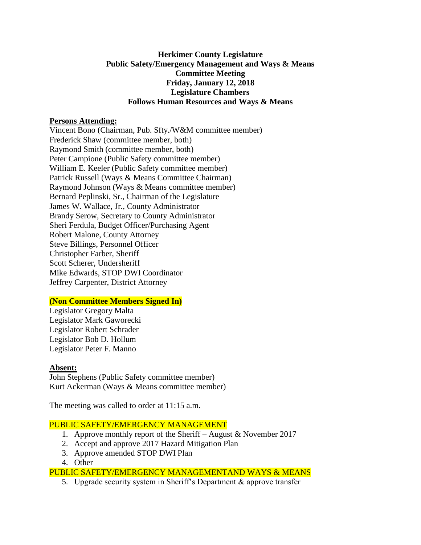## **Herkimer County Legislature Public Safety/Emergency Management and Ways & Means Committee Meeting Friday, January 12, 2018 Legislature Chambers Follows Human Resources and Ways & Means**

### **Persons Attending:**

Vincent Bono (Chairman, Pub. Sfty./W&M committee member) Frederick Shaw (committee member, both) Raymond Smith (committee member, both) Peter Campione (Public Safety committee member) William E. Keeler (Public Safety committee member) Patrick Russell (Ways & Means Committee Chairman) Raymond Johnson (Ways & Means committee member) Bernard Peplinski, Sr., Chairman of the Legislature James W. Wallace, Jr., County Administrator Brandy Serow, Secretary to County Administrator Sheri Ferdula, Budget Officer/Purchasing Agent Robert Malone, County Attorney Steve Billings, Personnel Officer Christopher Farber, Sheriff Scott Scherer, Undersheriff Mike Edwards, STOP DWI Coordinator Jeffrey Carpenter, District Attorney

# **(Non Committee Members Signed In)**

Legislator Gregory Malta Legislator Mark Gaworecki Legislator Robert Schrader Legislator Bob D. Hollum Legislator Peter F. Manno

#### **Absent:**

John Stephens (Public Safety committee member) Kurt Ackerman (Ways & Means committee member)

The meeting was called to order at 11:15 a.m.

# PUBLIC SAFETY/EMERGENCY MANAGEMENT

- 1. Approve monthly report of the Sheriff August & November 2017
- 2. Accept and approve 2017 Hazard Mitigation Plan
- 3. Approve amended STOP DWI Plan
- 4. Other

PUBLIC SAFETY/EMERGENCY MANAGEMENTAND WAYS & MEANS

5. Upgrade security system in Sheriff's Department & approve transfer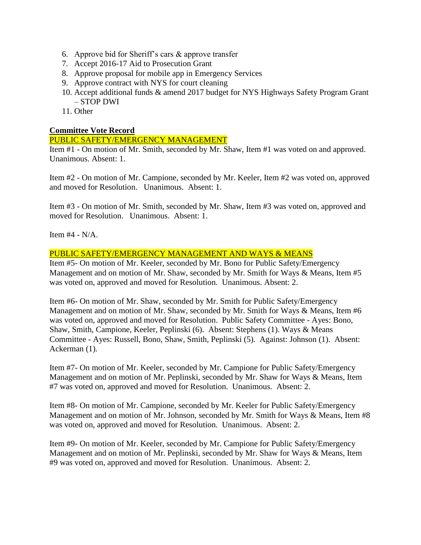- 6. Approve bid for Sheriff's cars & approve transfer
- 7. Accept 2016-17 Aid to Prosecution Grant
- 8. Approve proposal for mobile app in Emergency Services
- 9. Approve contract with NYS for court cleaning
- 10. Accept additional funds & amend 2017 budget for NYS Highways Safety Program Grant – STOP DWI
- 11. Other

### **Committee Vote Record**

## PUBLIC SAFETY/EMERGENCY MANAGEMENT

Item #1 - On motion of Mr. Smith, seconded by Mr. Shaw, Item #1 was voted on and approved. Unanimous. Absent: 1.

Item #2 - On motion of Mr. Campione, seconded by Mr. Keeler, Item #2 was voted on, approved and moved for Resolution. Unanimous. Absent: 1.

Item #3 - On motion of Mr. Smith, seconded by Mr. Shaw, Item #3 was voted on, approved and moved for Resolution. Unanimous. Absent: 1.

Item #4 - N/A.

#### PUBLIC SAFETY/EMERGENCY MANAGEMENT AND WAYS & MEANS

Item #5- On motion of Mr. Keeler, seconded by Mr. Bono for Public Safety/Emergency Management and on motion of Mr. Shaw, seconded by Mr. Smith for Ways & Means, Item #5 was voted on, approved and moved for Resolution. Unanimous. Absent: 2.

Item #6- On motion of Mr. Shaw, seconded by Mr. Smith for Public Safety/Emergency Management and on motion of Mr. Shaw, seconded by Mr. Smith for Ways & Means, Item #6 was voted on, approved and moved for Resolution. Public Safety Committee - Ayes: Bono, Shaw, Smith, Campione, Keeler, Peplinski (6). Absent: Stephens (1). Ways & Means Committee - Ayes: Russell, Bono, Shaw, Smith, Peplinski (5). Against: Johnson (1). Absent: Ackerman (1).

Item #7- On motion of Mr. Keeler, seconded by Mr. Campione for Public Safety/Emergency Management and on motion of Mr. Peplinski, seconded by Mr. Shaw for Ways & Means, Item #7 was voted on, approved and moved for Resolution. Unanimous. Absent: 2.

Item #8- On motion of Mr. Campione, seconded by Mr. Keeler for Public Safety/Emergency Management and on motion of Mr. Johnson, seconded by Mr. Smith for Ways & Means, Item #8 was voted on, approved and moved for Resolution. Unanimous. Absent: 2.

Item #9- On motion of Mr. Keeler, seconded by Mr. Campione for Public Safety/Emergency Management and on motion of Mr. Peplinski, seconded by Mr. Shaw for Ways & Means, Item #9 was voted on, approved and moved for Resolution. Unanimous. Absent: 2.